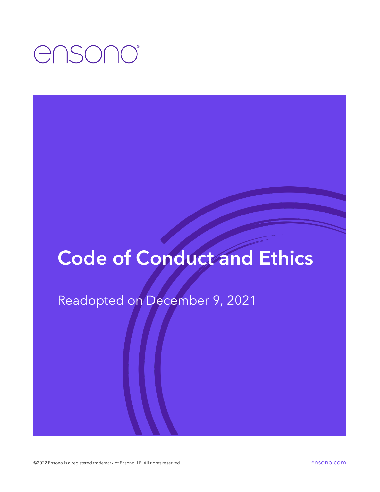## ensono

## Code of Conduct and Ethics

Readopted on December 9, 2021